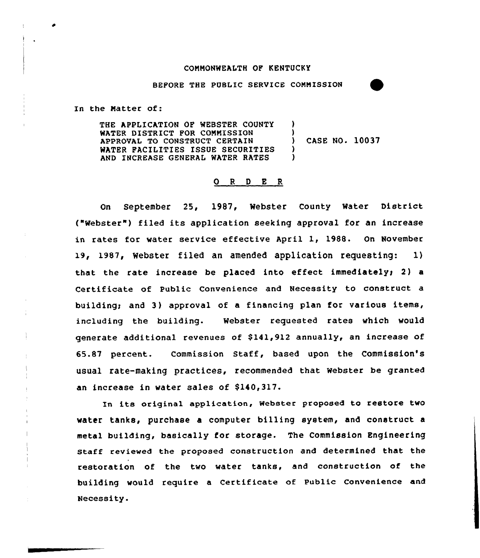## COMMONWEALTH OF KENTUCKY

BEFORE THE PUBLIC SERVICE COMMISSION

In the Matter of:

THE APPLICATION OF WEBSTER COUNTY WATER DISTRICT FOR COMMISSION APPROVAL TO CONSTRUCT CERTAIN WATER FACILITIES ISSUE SECURITIES AND INCREASE GENERAL WATER RATES ) ) ) CASE NO. 10037 ) )

# 0 <sup>R</sup> <sup>D</sup> E <sup>R</sup>

On September 25, 1987, Webster County Mater District ("Webster") filed its application seeking approval for an increase in rates for water service effective April 1, 1988. On November 19, 1987, webster filed an amended application requesting: 1) that the rate increase be placed into effect immediately; 2) a Certificate of Public Convenience and Necessity to construct a building; and 3) approval of a financing plan for various items, including the building. Webster requested rates which would generate additional revenues of \$141,912 annually, an increase of 65.87 percent. Commission Staff, based upon the Commission's usual rate-making practices, recommended that Webster be granted an increase in water sales of \$140,317.

In its original application, Webster proposed to restore two water tanks, purchase a computer billing system, and construct a metal building, basically for storage. The Commission Engineering staff reviewed the proposed construction and determined that the restoration of the two water tanks, and construction of the building would require a certificate of public convenience and Necessity.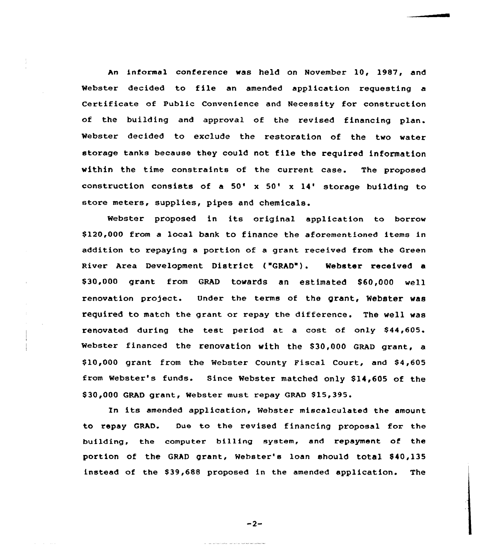An informal conference was held on November 10, 1987, end Webster decided to file an emended application zequesting <sup>a</sup> Certificate of Public Convenience and Necessity for construction of the building end approval of the revised financing plan. Webster decided to exclude the restoration of the two water storage tanks because they could not file the required information within the time constraints of the current case. The proposed construction consists of a  $50' \times 50' \times 14'$  storage building to store metexs, supplies, pipes and chemicals.

Webster proposed in its original application to borrow \$120,000 from a local bank to finance the aforementioned items in addition to repaying a portion of a grant received from the Green River Area Development District ("GRAD"). Webster received a \$30,000 grant from GRAD towards an estimated \$60,000 well renovation project. Under the terms of the grant, Webster was required to match the grant ox repay the difference. The well wes renovated during the test period at a cost of only \$44,605. Webster financed the renovation with the \$30,000 GRAD grant, a \$10,000 grant from the Webster County Fiscal Court, and \$4,605 from Webster's funds. Since Webster matched only \$14,605 of the \$30,000 GRAD grant, Webster must repay GRAD \$15,395.

In its amended application, Webster miscalculated the amount to repay GRAD. Due to the revised financing proposal for the building, the computer billing system, end repayment of the portion of the GRAD grant, Webster's loan should total \$40,135 instead of the \$ 39,688 proposed in the amended application. The

 $-2-$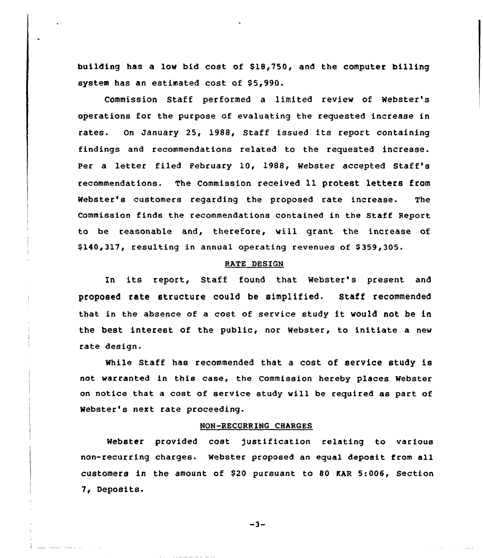building has a low bid cost of \$18,750, and the computer billing system has an estimated cost of \$5,990.

Commission Staff performed a limited review of Webster' operations for the purpose of evaluating the requested increase in rates. On January 25, 1988, Staff issued its report containing findings and recommendations related to the requested increase. Per a letter filed February 10, 1988, Webster accepted Staff's recommendations. The Commission received 11 protest letters from Webster's customers regarding the proposed rate increase. The Commission finds the recommendations contained in the Staff Report to be reasonable and, therefore, will grant the increase of \$140,317, resulting in annual operating revenues of \$ 359,305.

#### RATE DESIGN

In its report, Staff found that Webster's present and proposed rate structure could be simplified. Staff recommended that in the absence of <sup>a</sup> cost of service study it would not be in the best interest of the public, nor Webster, to initiate a new rate design.

While Staff has recommended that a cost of service study is not warranted in this case, the Commission hereby places Webster on notice that a cost of service study will be required as part of Webster's next rate proceeding.

#### NON-RECURRING CHARGES

Webster provided cost )ustification relating to various non-recurring charges. Webster proposed an equal deposit from all customers in the amount of \$20 pursuant to 80 MR 5:006, Section 7, Deposits.

-3-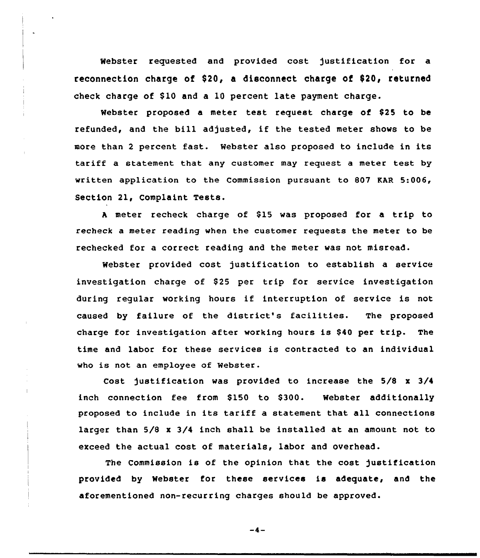Webster requested and provided cost justification for a reconnection charge of \$20, a disconnect charge of \$20, returned check charge of \$10 and a 10 percent late payment charge.

Webster proposed a meter test request charge of \$25 to be refunded, and the bill adjusted, if the tested meter shows to be more than <sup>2</sup> percent fast. Webster also proposed to include in its tariff a statement that any customer may request <sup>a</sup> meter test by written application to the Commission pursuant to 807 EAR 5:006, Section 21, Complaint Tests.

A meter recheck charge of \$15 was proposed for a trip to recheck a meter reading when the customer requests the meter to be rechecked for a correct reading and the meter was not misread.

Webster provided cost justification to establish a service investigation charge of \$25 per trip for service investigation during regular working hours if interruption of service is not caused by failure of the district's facilities. The proposed charge for investigation after working hours is \$40 per trip. The time and labor for these services is contracted to an individual who is not an employee of Webster.

Cost justification was provided to increase the 5/8 <sup>x</sup> 3/4 inch connection fee from \$150 to \$300. Webster additionally proposed to include in its tariff a statement that all connections larger than 5/8 <sup>x</sup> 3/4 inch shall be installed at an amount not to exceed the actual cost of materials, labor and overhead.

The Commission is of the opinion that the cost justification provided by Webster for these services is adequate, and the aforementioned non-recurring charges should be approved.

 $-4-$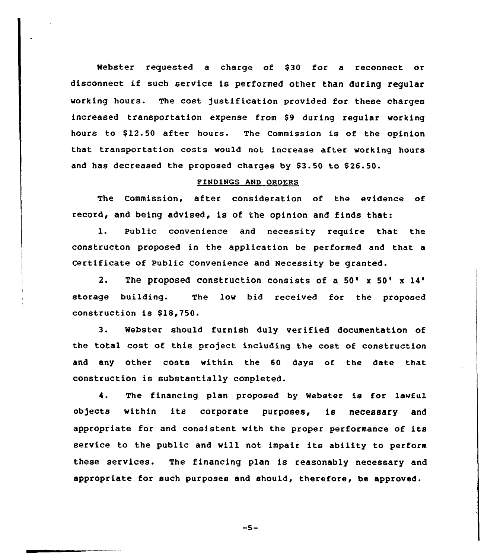Webster requested a charge of \$30 for a reconnect or disconnect if such service is performed other than during regular working hours. The cost justification provided for these charges increased transportation expense from \$9 during regular working hours to \$12.50 after hours. The Commission is of the opinion that transportation costs would not increase after working hours and has decreased the proposed charges by \$3.50 to \$26.50.

## FINDINGS AND ORDERS

The Commission, after consideration of the evidence of record, and being advised, is of the opinion and finds that:

1. Public convenience and necessity require that the constructon proposed in the application be performed and that a Certificate of public Convenience and Necessity be granted.

2. The proposed construction consists of a  $50' \times 50' \times 14'$ storage building. The low bid received for the proposed construction is \$18,750.

3. Webster should furnish duly verified documentation of the total cost of this project including the cost of construction and any other costs within the 60 days of the date that construction is substantially completed.

4. The financing plan proposed by Webster is for lawful ob)ects within its corporate purposes, is necessary and appropriate for and consistent with the proper performance of its service to the public and will not impair its ability to perform these services. The financing plan is reasonably necessary and appropriate for such purposes and should, therefore, be approved.

 $-5-$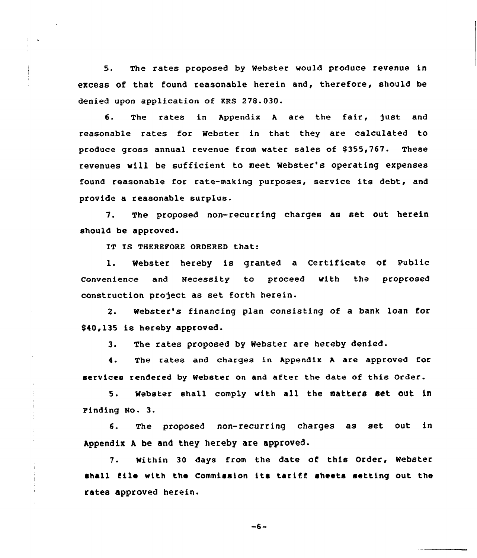5. The rates proposed by Webster would produce revenue in excess of that found reasonable herein and, therefore, should be denied upon application of KRS 278.030.

6. The rates in Appendix A are the fair, just and reasonable rates for Webster in that they are calculated to produce gross annual revenue from water sales of \$355,767. These revenues will be sufficient to meet Webster's operating expenses found reasonable for cate-making purposes, service its debt, and provide a reasonable surplus.

7. The proposed non-recurring charges as set out herein should be approved.

IT IS THEREFORE ORDERED that:

1. Webster hereby is granted <sup>a</sup> Certificate of Public convenience and Necessity to proceed with the proprosed construction project as set forth herein.

2. Webster's financing plan consisting of a bank loan for \$40,135 is hereby approved.

3. The rates proposed by Webster are hereby denied.

4. The rates and charges in Appendix <sup>A</sup> are approved for services rendered by Webster on and after the date of this Order.

5. webster shall comply with all the matters set out in Finding No. 3.

6. The proposed non-recurring charges as set out in Appendix <sup>A</sup> be and they hereby are approved.

7. Within 30 days from the date of this Order, Webster shall tile with the Commission its tariff sheets setting out the rates approved herein.

 $-6-$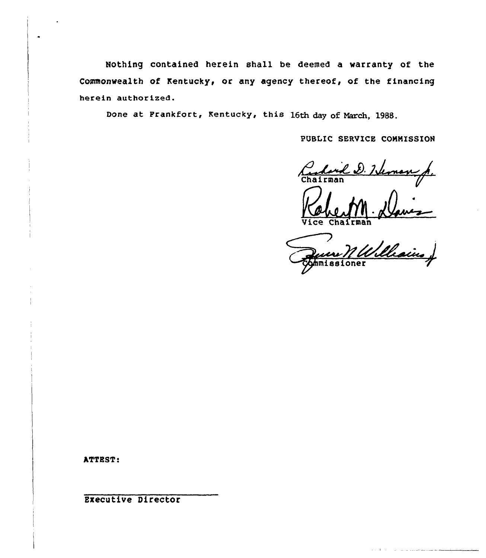Nothing contained herein shall be deemed a warranty of the Commonwealth of Kentucky, or any agency thereof, of the financing herein authorized.

Done at Prankfort, Kentucky, this 16th day of March, 1988.

PUBLIC SERVICE COMMISSION

Charles D. Heman p.

Ce Chairman

ATTEST!

Executive Director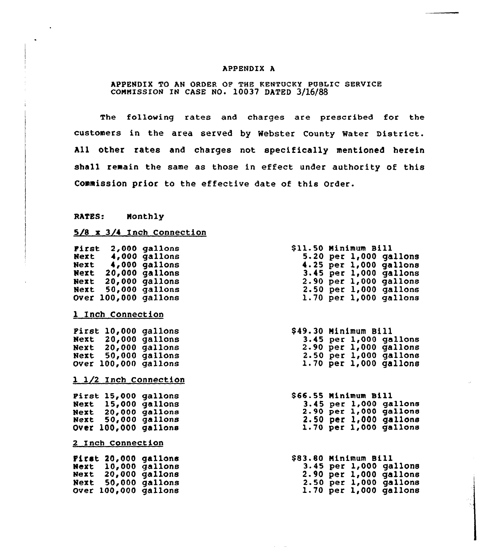## APPENDIX A

# APPENDIX TO AN ORDER OP THE KENTOCKY PUBLIC SERVICE COMMISSION IN CASE NO. 10037 DATED 3/16/88

The following rates and charges are prescribed for the customers in the area served by Webster County Water District. All other rates and charges not specifically mentioned herein shall remain the same as those in effect under authority of this Commission prior to the effective date of this Order.

RATES: Monthly

# 5/8 x 3/4 Inch Connection

| First 2,000 gallons<br>Next 4,000 gallons<br>Next 4,000 gallons<br>Next 20,000 gallons<br>Next 20,000 gallons<br>Next 50,000 gallons<br>Over 100,000 gallons<br>1 Inch Connection |  | \$11.50 Minimum Bill<br>5.20 per $1,000$ gallons<br>4.25 per 1,000 gallons<br>3.45 per 1,000 gallons<br>$2.90$ per $1,000$ gallons<br>$2.50$ per $1,000$ gallons<br>$1.70$ per $1,000$ gallons |
|-----------------------------------------------------------------------------------------------------------------------------------------------------------------------------------|--|------------------------------------------------------------------------------------------------------------------------------------------------------------------------------------------------|
| Pirst 10,000 gallons<br>Next 20,000 gallons<br>Next 20,000 gallons<br>Next 50,000 gallons<br>Over 100,000 gallons                                                                 |  | \$49.30 Minimum Bill<br>$3.45$ per $1,000$ gallons<br>$2.90$ per $1,000$ gallons<br>$2.50$ per $1,000$ gallons<br>$1.70$ per $1,000$ gallons                                                   |
| 1 1/2 Inch Connection<br>Pirst 15,000 gallons<br>Next 15,000 gallons<br>Next 20,000 gallons<br>Next 50,000 gallons<br>Over 100,000 gallons                                        |  | \$66.55 Minimum Bill<br>3.45 per 1,000 gallons<br>2.90 per 1,000 gallons<br>$2.50$ per $1,000$ gallons<br>$1.70$ per $1,000$ gallons                                                           |
| 2 Inch Connection<br>First 20,000 gallons<br>Next 10,000 gallons<br>Next 20,000 gallons<br>Next 50,000 gallons<br>Over 100,000 gallons                                            |  | \$83.80 Minimum Bill<br>3.45 per 1,000 gallons<br>2.90 per 1,000 gallons<br>2.50 per 1,000 gallons<br>$1.70$ per $1,000$ gallons                                                               |